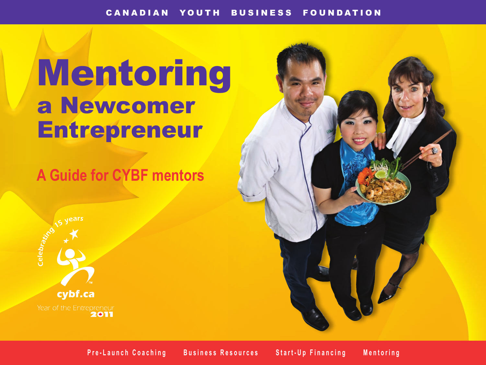# Mentoring a Newcomer **Entrepreneur**

# **A Guide for CYBF mentors**





**Pre-Launch Coaching Business Resources Start-Up Financing Mentoring**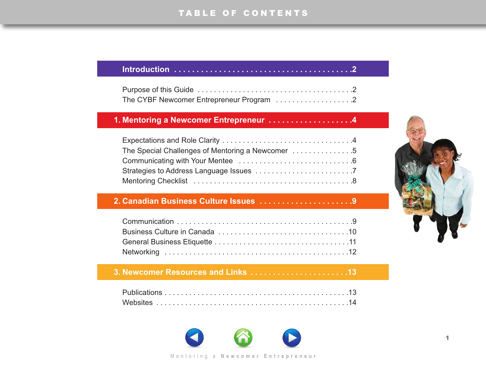#### **[Introduction . . . . . . . . . . . . . . . . . . . . . . . . . . . . . . . . . . . . . . . .2](#page-2-0)**

| The CYBF Newcomer Entrepreneur Program 2 |  |
|------------------------------------------|--|

# **1. [Mentoring a Newcomer Entrepreneur . . . . . . . . . . . . . . . . . . .4](#page-4-0)**

| The Special Challenges of Mentoring a Newcomer 5 |  |
|--------------------------------------------------|--|
|                                                  |  |
|                                                  |  |
|                                                  |  |

# **2. [Canadian Business Culture Issues . . . . . . . . . . . . . . . . . . . . .9](#page-9-0)**

# **3. [Newcomer Resources and Links . . . . . . . . . . . . . . . . . . . . . .13](#page-13-0)**





#### M entoring a New com er Entrepreneur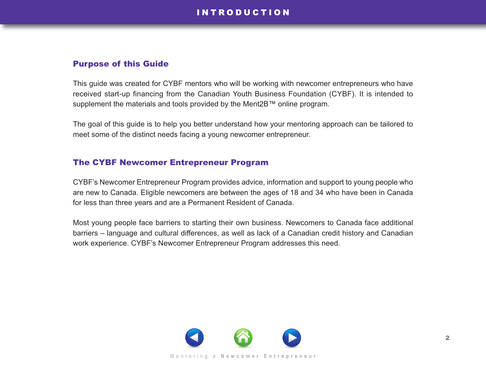# I N T R O D U C T I O N

#### <span id="page-2-0"></span>Purpose of this Guide

This guide was created for CYBF mentors who will be working with newcomer entrepreneurs who have received start-up financing from the Canadian Youth Business Foundation (CYBF). It is intended to supplement the materials and tools provided by the Ment2B™ online program.

The goal of this guide is to help you better understand how your mentoring approach can be tailored to meet some of the distinct needs facing a young newcomer entrepreneur.

#### The CYBF Newcomer Entrepreneur Program

CYBF's Newcomer Entrepreneur Program provides advice, information and support to young people who are new to Canada. Eligible newcomers are between the ages of 18 and 34 who have been in Canada for less than three years and are a Permanent Resident of Canada.

Most young people face barriers to starting their own business. Newcomers to Canada face additional barriers – language and cultural differences, as well as lack of a Canadian credit history and Canadian work experience. CYBF's Newcomer Entrepreneur Program addresses this need.

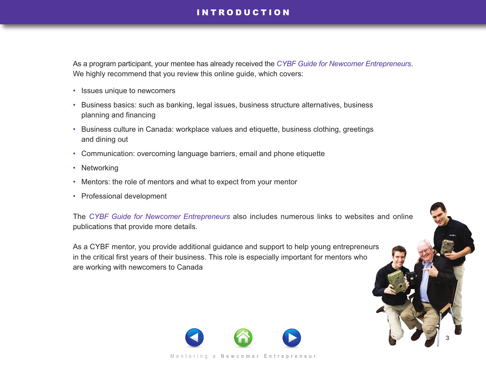# **INTRODUCTION**

As a program participant, your mentee has already received the *[CYBF Guide for Newcomer Entrepreneurs](http://www.cybf.ca/entrepreneurs/docs/CYBF_Guide_for_Newcomer_Entrepreneurs.pdf)*. We highly recommend that you review this online guide, which covers:

- Issues unique to newcomers
- Business basics: such as banking, legal issues, business structure alternatives, business planning and financing
- Business culture in Canada: workplace values and etiquette, business clothing, greetings and dining out
- Communication: overcoming language barriers, email and phone etiquette
- Networking
- Mentors: the role of mentors and what to expect from your mentor
- Professional development

The *[CYBF Guide for Newcomer Entrepreneurs](http://www.cybf.ca/entrepreneurs/docs/CYBF_Guide_for_Newcomer_Entrepreneurs.pdf)* also includes numerous links to websites and online publications that provide more details.

As a CYBF mentor, you provide additional guidance and support to help young entrepreneurs in the critical first years of their business. This role is especially important for mentors who are working with newcomers to Canada



3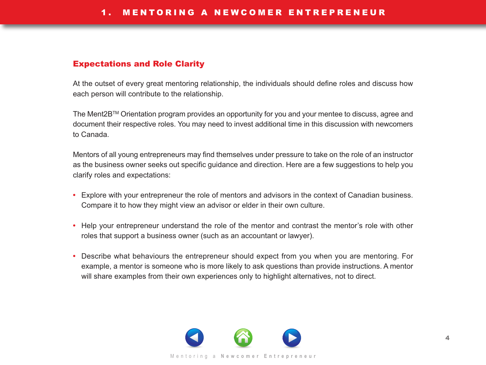# <span id="page-4-0"></span>Expectations and Role Clarity

At the outset of every great mentoring relationship, the individuals should define roles and discuss how each person will contribute to the relationship.

The Ment2BTM Orientation program provides an opportunity for you and your mentee to discuss, agree and document their respective roles. You may need to invest additional time in this discussion with newcomers to Canada.

Mentors of all young entrepreneurs may find themselves under pressure to take on the role of an instructor as the business owner seeks out specific guidance and direction. Here are a few suggestions to help you clarify roles and expectations:

- **•** Explore with your entrepreneur the role of mentors and advisors in the context of Canadian business. Compare it to how they might view an advisor or elder in their own culture.
- **•** Help your entrepreneur understand the role of the mentor and contrast the mentor's role with other roles that support a business owner (such as an accountant or lawyer).
- **•** Describe what behaviours the entrepreneur should expect from you when you are mentoring. For example, a mentor is someone who is more likely to ask questions than provide instructions. A mentor will share examples from their own experiences only to highlight alternatives, not to direct.

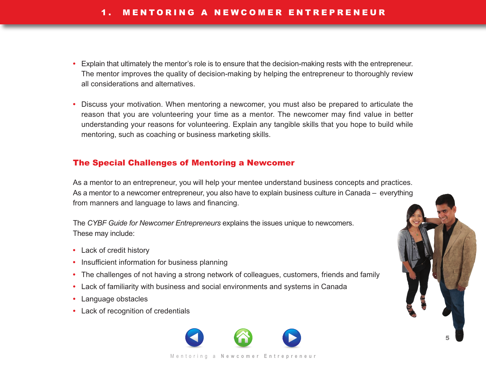- <span id="page-5-0"></span>**•** Explain that ultimately the mentor's role is to ensure that the decision-making rests with the entrepreneur. The mentor improves the quality of decision-making by helping the entrepreneur to thoroughly review all considerations and alternatives.
- **•** Discuss your motivation. When mentoring a newcomer, you must also be prepared to articulate the reason that you are volunteering your time as a mentor. The newcomer may find value in better understanding your reasons for volunteering. Explain any tangible skills that you hope to build while mentoring, such as coaching or business marketing skills.

## The Special Challenges of Mentoring a Newcomer

As a mentor to an entrepreneur, you will help your mentee understand business concepts and practices. As a mentor to a newcomer entrepreneur, you also have to explain business culture in Canada – everything from manners and language to laws and financing.

The *CYBF Guide for Newcomer Entrepreneurs* explains the issues unique to newcomers. These may include:

- **•** Lack of credit history
- **•** Insufficient information for business planning
- **•** The challenges of not having a strong network of colleagues, customers, friends and family
- **•** Lack of familiarity with business and social environments and systems in Canada
- **•** Language obstacles
- **•** Lack of recognition of credentials



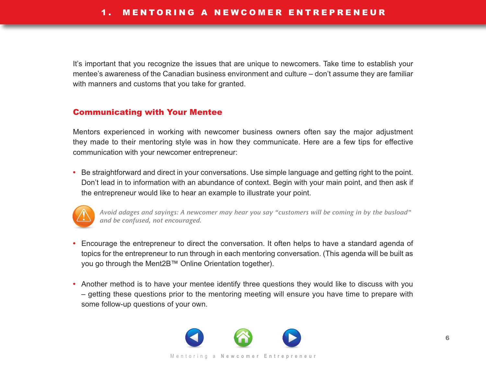<span id="page-6-0"></span>It's important that you recognize the issues that are unique to newcomers. Take time to establish your mentee's awareness of the Canadian business environment and culture – don't assume they are familiar with manners and customs that you take for granted.

#### Communicating with Your Mentee

Mentors experienced in working with newcomer business owners often say the major adjustment they made to their mentoring style was in how they communicate. Here are a few tips for effective communication with your newcomer entrepreneur:

**•** Be straightforward and direct in your conversations. Use simple language and getting right to the point. Don't lead in to information with an abundance of context. Begin with your main point, and then ask if the entrepreneur would like to hear an example to illustrate your point.



*Avoid adages and sayings: A newcomer may hear you say "customers will be coming in by the busload" and be confused, not encouraged.*

- **•** Encourage the entrepreneur to direct the conversation. It often helps to have a standard agenda of topics for the entrepreneur to run through in each mentoring conversation. (This agenda will be built as you go through the Ment2B™ Online Orientation together).
- **•** Another method is to have your mentee identify three questions they would like to discuss with you – getting these questions prior to the mentoring meeting will ensure you have time to prepare with some follow-up questions of your own.

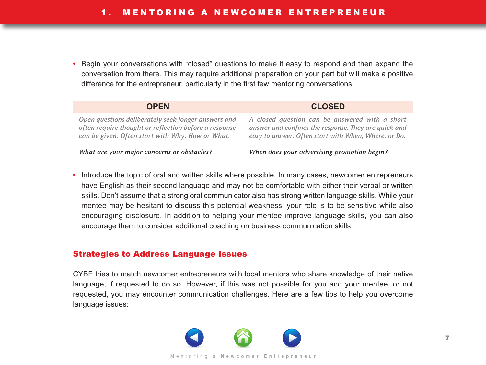<span id="page-7-0"></span>**•** Begin your conversations with "closed" questions to make it easy to respond and then expand the conversation from there. This may require additional preparation on your part but will make a positive difference for the entrepreneur, particularly in the first few mentoring conversations.

| <b>OPFN</b>                                                                                                                                                      | <b>CLOSED</b>                                                                                                                                                  |
|------------------------------------------------------------------------------------------------------------------------------------------------------------------|----------------------------------------------------------------------------------------------------------------------------------------------------------------|
| Open questions deliberately seek longer answers and<br>often require thought or reflection before a response<br>can be given. Often start with Why, How or What. | A closed question can be answered with a short<br>answer and confines the response. They are quick and<br>easy to answer. Often start with When, Where, or Do. |
| What are your major concerns or obstacles?                                                                                                                       | When does your advertising promotion begin?                                                                                                                    |

**•** Introduce the topic of oral and written skills where possible. In many cases, newcomer entrepreneurs have English as their second language and may not be comfortable with either their verbal or written skills. Don't assume that a strong oral communicator also has strong written language skills. While your mentee may be hesitant to discuss this potential weakness, your role is to be sensitive while also encouraging disclosure. In addition to helping your mentee improve language skills, you can also encourage them to consider additional coaching on business communication skills.

#### Strategies to Address Language Issues

CYBF tries to match newcomer entrepreneurs with local mentors who share knowledge of their native language, if requested to do so. However, if this was not possible for you and your mentee, or not requested, you may encounter communication challenges. Here are a few tips to help you overcome language issues:

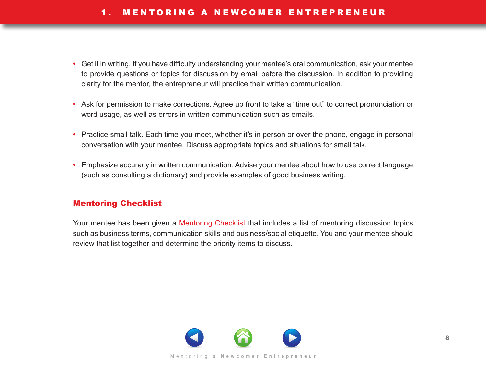- <span id="page-8-0"></span>**•** Get it in writing. If you have difficulty understanding your mentee's oral communication, ask your mentee to provide questions or topics for discussion by email before the discussion. In addition to providing clarity for the mentor, the entrepreneur will practice their written communication.
- **•** Ask for permission to make corrections. Agree up front to take a "time out" to correct pronunciation or word usage, as well as errors in written communication such as emails.
- **•** Practice small talk. Each time you meet, whether it's in person or over the phone, engage in personal conversation with your mentee. Discuss appropriate topics and situations for small talk.
- **•** Emphasize accuracy in written communication. Advise your mentee about how to use correct language (such as consulting a dictionary) and provide examples of good business writing.

#### Mentoring Checklist

Your mentee has been given a [Mentoring Checklist](http://www.cybf.ca/entrepreneurs/docs/CYBF_Newcomer_Mentoring_Checklist.pdf) that includes a list of mentoring discussion topics such as business terms, communication skills and business/social etiquette. You and your mentee should review that list together and determine the priority items to discuss.

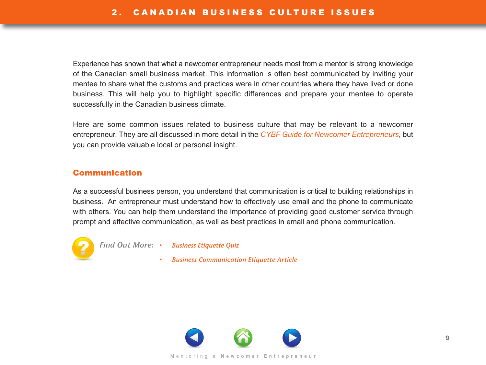<span id="page-9-0"></span>Experience has shown that what a newcomer entrepreneur needs most from a mentor is strong knowledge of the Canadian small business market. This information is often best communicated by inviting your mentee to share what the customs and practices were in other countries where they have lived or done business. This will help you to highlight specific differences and prepare your mentee to operate successfully in the Canadian business climate.

Here are some common issues related to business culture that may be relevant to a newcomer entrepreneur. They are all discussed in more detail in the *[CYBF Guide for Newcomer Entrepreneurs](http://www.cybf.ca/entrepreneurs/docs/CYBF_Guide_for_Newcomer_Entrepreneurs.pdf)*, but you can provide valuable local or personal insight.

#### Communication

As a successful business person, you understand that communication is critical to building relationships in business. An entrepreneur must understand how to effectively use email and the phone to communicate with others. You can help them understand the importance of providing good customer service through prompt and effective communication, as well as best practices in email and phone communication.



*Find Out More:* • *[Business Etiquette Quiz](http://www.centennialcollege.ca/pdf/gradsuccesspack/JobOffer/busetquiz.pdf)*

• *[Business Communication Etiquette Article](http://www.nataliemanor.com/articles/businessetiquette.html)*

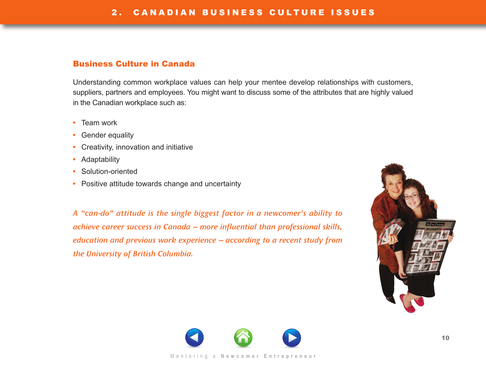#### <span id="page-10-0"></span>Business Culture in Canada

Understanding common workplace values can help your mentee develop relationships with customers, suppliers, partners and employees. You might want to discuss some of the attributes that are highly valued in the Canadian workplace such as:

- **•** Team work
- **•** Gender equality
- **•** Creativity, innovation and initiative
- **•** Adaptability
- **•** Solution-oriented
- **•** Positive attitude towards change and uncertainty

*A "can-do" attitude is the single biggest factor in a newcomer's ability to achieve career success in Canada – more influential than professional skills, education and previous work experience – according to a recent study from the University of British Columbia.*



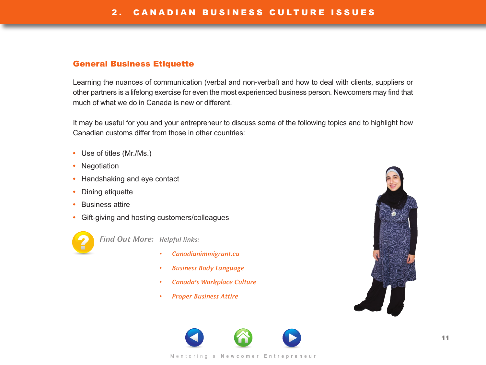#### <span id="page-11-0"></span>General Business Etiquette

Learning the nuances of communication (verbal and non-verbal) and how to deal with clients, suppliers or other partners is a lifelong exercise for even the most experienced business person. Newcomers may find that much of what we do in Canada is new or different.

It may be useful for you and your entrepreneur to discuss some of the following topics and to highlight how Canadian customs differ from those in other countries:

- **•** Use of titles (Mr./Ms.)
- **•** Negotiation
- **•** Handshaking and eye contact
- **•** Dining etiquette
- **•** Business attire
- **•** Gift-giving and hosting customers/colleagues



*Find Out More: Helpful links:*

- *[Canadianimmigrant.ca](http://www.canadianimmigrant.ca/careers/businessetiquette)*
- *[Business Body Language](http://www.sideroad.com/Business_Etiquette/business-body-language.html)*
- *[Canada's Workplace Culture](http://talentegg.ca/incubator/2010/08/insight-for-international-students-learning-canadas-workplace-culture/)*
- *[Proper Business Attire](http://www.business.ualberta.ca/Careers/BusinessCareerServices/StudentsAlumni/~/media/University%20of%20Alberta/Faculties/Business/Faculty%20Site/Careers/BusinessCareerServices/Document/ProperAttireAndEtiquetteForMenAndWomen.ashx)*



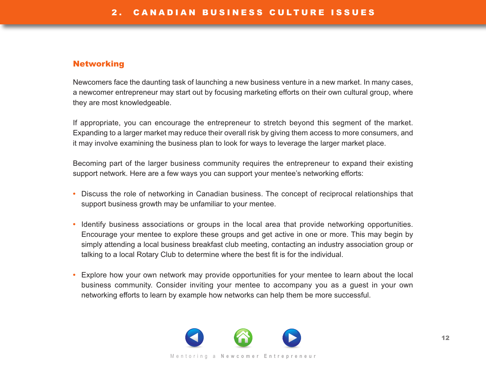### <span id="page-12-0"></span>Networking

Newcomers face the daunting task of launching a new business venture in a new market. In many cases, a newcomer entrepreneur may start out by focusing marketing efforts on their own cultural group, where they are most knowledgeable.

If appropriate, you can encourage the entrepreneur to stretch beyond this segment of the market. Expanding to a larger market may reduce their overall risk by giving them access to more consumers, and it may involve examining the business plan to look for ways to leverage the larger market place.

Becoming part of the larger business community requires the entrepreneur to expand their existing support network. Here are a few ways you can support your mentee's networking efforts:

- **•** Discuss the role of networking in Canadian business. The concept of reciprocal relationships that support business growth may be unfamiliar to your mentee.
- **•** Identify business associations or groups in the local area that provide networking opportunities. Encourage your mentee to explore these groups and get active in one or more. This may begin by simply attending a local business breakfast club meeting, contacting an industry association group or talking to a local Rotary Club to determine where the best fit is for the individual.
- **•** Explore how your own network may provide opportunities for your mentee to learn about the local business community. Consider inviting your mentee to accompany you as a guest in your own networking efforts to learn by example how networks can help them be more successful.

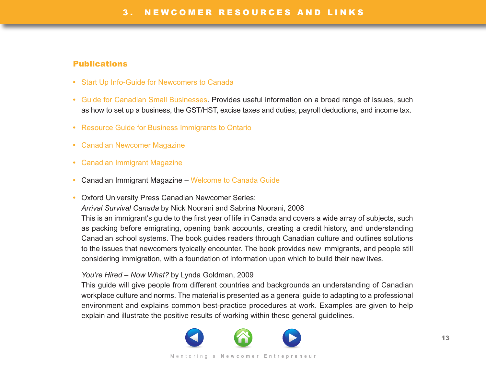# <span id="page-13-0"></span>Publications

- **•** [Start Up Info-Guide for Newcomers to Canada](:  http://www.cbo-eco.ca/en/index.cfm/guides/start-up-info-guide-for-newcomers-to-canada/)
- **•** [Guide for Canadian Small Businesses.](http://www.cra-arc.gc.ca/E/pub/tg/rc4070/README.html) Provides useful information on a broad range of issues, such as how to set up a business, the GST/HST, excise taxes and duties, payroll deductions, and income tax.
- **•** [Resource Guide for Business Immigrants to Ontario](http://www.cybf.ca/entrepreneurs/docs/publication_resource_guide_business_immigrants.pdf )
- **•** [Canadian Newcomer Magazine](www.cnmag.ca)
- **•** [Canadian Immigrant Magazine](www.canadianimmigrant.ca)
- **•** Canadian Immigrant Magazine [Welcome to Canada Guide](www.canadianimmigrant.ca/welcometocanada)
- **•** Oxford University Press Canadian Newcomer Series: *Arrival Survival Canada* by Nick Noorani and Sabrina Noorani, 2008

This is an immigrant's guide to the first year of life in Canada and covers a wide array of subjects, such as packing before emigrating, opening bank accounts, creating a credit history, and understanding Canadian school systems. The book guides readers through Canadian culture and outlines solutions to the issues that newcomers typically encounter. The book provides new immigrants, and people still considering immigration, with a foundation of information upon which to build their new lives.

#### *You're Hired – Now What?* by Lynda Goldman, 2009

This guide will give people from different countries and backgrounds an understanding of Canadian workplace culture and norms. The material is presented as a general guide to adapting to a professional environment and explains common best-practice procedures at work. Examples are given to help explain and illustrate the positive results of working within these general guidelines.